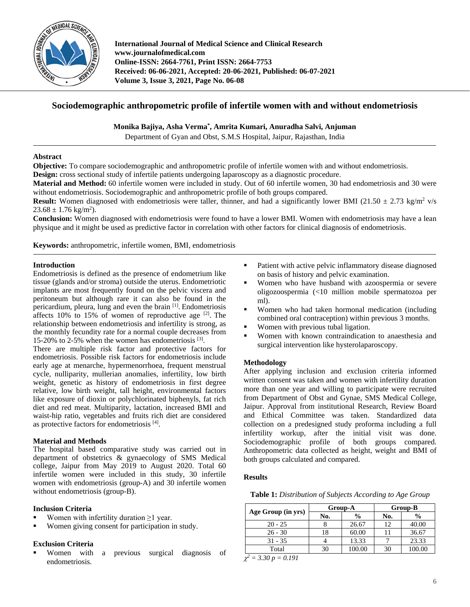

**International Journal of Medical Science and Clinical Research www.journalofmedical.com Online-ISSN: 2664-7761, Print ISSN: 2664-7753 Received: 06-06-2021, Accepted: 20-06-2021, Published: 06-07-2021 Volume 3, Issue 3, 2021, Page No. 06-08**

# **Sociodemographic anthropometric profile of infertile women with and without endometriosis**

**Monika Bajiya, Asha Verma\* , Amrita Kumari, Anuradha Salvi, Anjuman**

Department of Gyan and Obst, S.M.S Hospital, Jaipur, Rajasthan, India

### **Abstract**

**Objective:** To compare sociodemographic and anthropometric profile of infertile women with and without endometriosis.

**Design:** cross sectional study of infertile patients undergoing laparoscopy as a diagnostic procedure.

**Material and Method:** 60 infertile women were included in study. Out of 60 infertile women, 30 had endometriosis and 30 were without endometriosis. Sociodemographic and anthropometric profile of both groups compared.

**Result:** Women diagnosed with endometriosis were taller, thinner, and had a significantly lower BMI (21.50  $\pm$  2.73 kg/m<sup>2</sup> v/s  $23.68 \pm 1.76$  kg/m<sup>2</sup>).

**Conclusion:** Women diagnosed with endometriosis were found to have a lower BMI. Women with endometriosis may have a lean physique and it might be used as predictive factor in correlation with other factors for clinical diagnosis of endometriosis.

**Keywords:** anthropometric, infertile women, BMI, endometriosis

## **Introduction**

Endometriosis is defined as the presence of endometrium like tissue (glands and/or stroma) outside the uterus. Endometriotic implants are most frequently found on the pelvic viscera and peritoneum but although rare it can also be found in the pericardium, pleura, lung and even the brain [1] . Endometriosis affects  $10\%$  to  $15\%$  of women of reproductive age  $[2]$ . The relationship between endometriosis and infertility is strong, as the monthly fecundity rate for a normal couple decreases from 15-20% to 2-5% when the women has endometriosis [3] .

There are multiple risk factor and protective factors for endometriosis. Possible risk factors for endometriosis include early age at menarche, hypermenorrhoea, frequent menstrual cycle, nulliparity, mullerian anomalies, infertility, low birth weight, genetic as history of endometriosis in first degree relative, low birth weight, tall height, environmental factors like exposure of dioxin or polychlorinated biphenyls, fat rich diet and red meat. Multiparity, lactation, increased BMI and waist-hip ratio, vegetables and fruits rich diet are considered as protective factors for endometriosis<sup>[4]</sup>.

# **Material and Methods**

The hospital based comparative study was carried out in department of obstetrics & gynaecology of SMS Medical college, Jaipur from May 2019 to August 2020. Total 60 infertile women were included in this study, 30 infertile women with endometriosis (group-A) and 30 infertile women without endometriosis (group-B).

### **Inclusion Criteria**

- Women with infertility duration ≥1 year.
- Women giving consent for participation in study.

# **Exclusion Criteria**

 Women with a previous surgical diagnosis of endometriosis.

- Patient with active pelvic inflammatory disease diagnosed on basis of history and pelvic examination.
- Women who have husband with azoospermia or severe oligozoospermia (<10 million mobile spermatozoa per ml).
- Women who had taken hormonal medication (including combined oral contraception) within previous 3 months.
- Women with previous tubal ligation.
- Women with known contraindication to anaesthesia and surgical intervention like hysterolaparoscopy.

### **Methodology**

After applying inclusion and exclusion criteria informed written consent was taken and women with infertility duration more than one year and willing to participate were recruited from Department of Obst and Gynae, SMS Medical College, Jaipur. Approval from institutional Research, Review Board and Ethical Committee was taken. Standardized data collection on a predesigned study proforma including a full infertility workup, after the initial visit was done. Sociodemographic profile of both groups compared. Anthropometric data collected as height, weight and BMI of both groups calculated and compared.

### **Results**

**Table 1:** *Distribution of Subjects According to Age Group*

| Age Group (in yrs) |     | Group-A<br>Group-B |     |               |
|--------------------|-----|--------------------|-----|---------------|
|                    | No. | $\frac{0}{0}$      | No. | $\frac{6}{9}$ |
| $20 - 25$          |     | 26.67              | 12  | 40.00         |
| $26 - 30$          | 18  | 60.00              |     | 36.67         |
| $31 - 35$          |     | 13.33              |     | 23.33         |
| Total              |     | 100.00             | 30  | .00.00        |
| 2.20<br>0.707      |     |                    |     |               |

 $\chi^2 = 3.30 \ p = 0.191$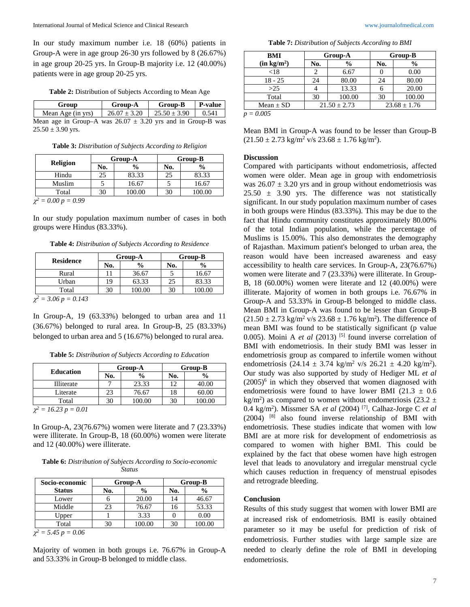In our study maximum number i.e. 18 (60%) patients in Group-A were in age group 26-30 yrs followed by 8 (26.67%) in age group 20-25 yrs. In Group-B majority i.e. 12 (40.00%) patients were in age group 20-25 yrs.

**Table 2:** Distribution of Subjects According to Mean Age

**Group Group-A Group-B P-value** Mean Age (in yrs)  $\begin{array}{|c|c|c|c|c|c|} \hline 26.07 \pm 3.20 & 25.50 \pm 3.90 & 0.541 \hline \end{array}$ Mean age in Group–A was  $26.07 \pm 3.20$  yrs and in Group-B was  $25.50 \pm 3.90$  yrs.

**Table 3:** *Distribution of Subjects According to Religion*

| Group-A |               | Group-B |               |  |
|---------|---------------|---------|---------------|--|
| No.     | $\frac{0}{0}$ | No.     | $\frac{0}{0}$ |  |
|         | 83.33         |         | 83.33         |  |
|         | 16.67         |         | 16.67         |  |
|         | 100.00        |         | 100.00        |  |
|         |               |         |               |  |

 $\chi^2 = 0.00 p = 0.99$ 

In our study population maximum number of cases in both groups were Hindus (83.33%).

**Table 4:** *Distribution of Subjects According to Residence*

| <b>Residence</b>          | Group-A |               | Group-B |               |
|---------------------------|---------|---------------|---------|---------------|
|                           | No.     | $\frac{0}{0}$ | No.     | $\frac{0}{0}$ |
| Rural                     |         | 36.67         |         | 16.67         |
| Urban                     | 19      | 63.33         | 25      | 83.33         |
| Total                     | 30      | 100.00        | 30      | 100.00        |
| $\chi^2$ = 3.06 p = 0.143 |         |               |         |               |

In Group-A, 19 (63.33%) belonged to urban area and 11 (36.67%) belonged to rural area. In Group-B, 25 (83.33%) belonged to urban area and 5 (16.67%) belonged to rural area.

**Table 5:** *Distribution of Subjects According to Education*

| <b>Education</b>          | Group-A |               | Group-B |               |
|---------------------------|---------|---------------|---------|---------------|
|                           | No.     | $\frac{0}{0}$ | No.     | $\frac{0}{0}$ |
| <b>Illiterate</b>         |         | 23.33         | 12      | 40.00         |
| Literate                  | 23      | 76.67         | 18      | 60.00         |
| Total                     | 30      | 100.00        | 30      | 100.00        |
| $\chi^2 = 16.23 p = 0.01$ |         |               |         |               |

In Group-A, 23(76.67%) women were literate and 7 (23.33%) were illiterate. In Group-B, 18 (60.00%) women were literate and 12 (40.00%) were illiterate.

**Table 6:** *Distribution of Subjects According to Socio-economic Status*

| Socio-economic           | Group-A |               | Group-B |               |
|--------------------------|---------|---------------|---------|---------------|
| <b>Status</b>            | No.     | $\frac{0}{0}$ | No.     | $\frac{0}{0}$ |
| Lower                    |         | 20.00         | 14      | 46.67         |
| Middle                   | 23      | 76.67         | 16      | 53.33         |
| Upper                    |         | 3.33          |         | 0.00          |
| Total                    | 30      | 100.00        | 30      | 100.00        |
| $\chi^2$ = 5.45 p = 0.06 |         |               |         |               |

Majority of women in both groups i.e. 76.67% in Group-A and 53.33% in Group-B belonged to middle class.

**Table 7:** *Distribution of Subjects According to BMI*

| BMI                     | Group-A          |               | Group-B          |               |  |
|-------------------------|------------------|---------------|------------------|---------------|--|
| (in kg/m <sup>2</sup> ) | No.              | $\frac{0}{0}$ | No.              | $\frac{6}{9}$ |  |
| ${<}18$                 |                  | 6.67          |                  | 0.00          |  |
| $18 - 25$               | 24               | 80.00         | 24               | 80.00         |  |
| >25                     |                  | 13.33         |                  | 20.00         |  |
| Total                   | 30               | 100.00        | 30               | 100.00        |  |
| Mean $\pm$ SD           | $21.50 \pm 2.73$ |               | $23.68 \pm 1.76$ |               |  |

*p = 0.005*

Mean BMI in Group-A was found to be lesser than Group-B  $(21.50 \pm 2.73 \text{ kg/m}^2 \text{ v/s } 23.68 \pm 1.76 \text{ kg/m}^2).$ 

#### **Discussion**

Compared with participants without endometriosis, affected women were older. Mean age in group with endometriosis was  $26.07 \pm 3.20$  yrs and in group without endometriosis was  $25.50 \pm 3.90$  yrs. The difference was not statistically significant. In our study population maximum number of cases in both groups were Hindus (83.33%). This may be due to the fact that Hindu community constitutes approximately 80.00% of the total Indian population, while the percentage of Muslims is 15.00%. This also demonstrates the demography of Rajasthan. Maximum patient's belonged to urban area, the reason would have been increased awareness and easy accessibility to health care services. In Group-A, 23(76.67%) women were literate and 7 (23.33%) were illiterate. In Group-B, 18 (60.00%) women were literate and 12 (40.00%) were illiterate. Majority of women in both groups i.e. 76.67% in Group-A and 53.33% in Group-B belonged to middle class. Mean BMI in Group-A was found to be lesser than Group-B  $(21.50 \pm 2.73 \text{ kg/m}^2 \text{ v/s } 23.68 \pm 1.76 \text{ kg/m}^2)$ . The difference of mean BMI was found to be statistically significant (p value 0.005). Moini A *et al* (2013)<sup>[5]</sup> found inverse correlation of BMI with endometriosis. In their study BMI was lesser in endometriosis group as compared to infertile women without endometriosis  $(24.14 \pm 3.74 \text{ kg/m}^2 \text{ v/s } 26.21 \pm 4.20 \text{ kg/m}^2)$ . Our study was also supported by study of Hediger ML *et al*  $(2005)^6$  in which they observed that women diagnosed with endometriosis were found to have lower BMI (21.3  $\pm$  0.6 kg/m<sup>2</sup>) as compared to women without endometriosis (23.2  $\pm$ 0.4 kg/m2 ). Missmer SA *et al* (2004) [7] , Calhaz-Jorge C *et al* (2004) [8] also found inverse relationship of BMI with endometriosis. These studies indicate that women with low BMI are at more risk for development of endometriosis as compared to women with higher BMI. This could be explained by the fact that obese women have high estrogen level that leads to anovulatory and irregular menstrual cycle which causes reduction in frequency of menstrual episodes and retrograde bleeding.

#### **Conclusion**

Results of this study suggest that women with lower BMI are at increased risk of endometriosis. BMI is easily obtained parameter so it may be useful for prediction of risk of endometriosis. Further studies with large sample size are needed to clearly define the role of BMI in developing endometriosis.